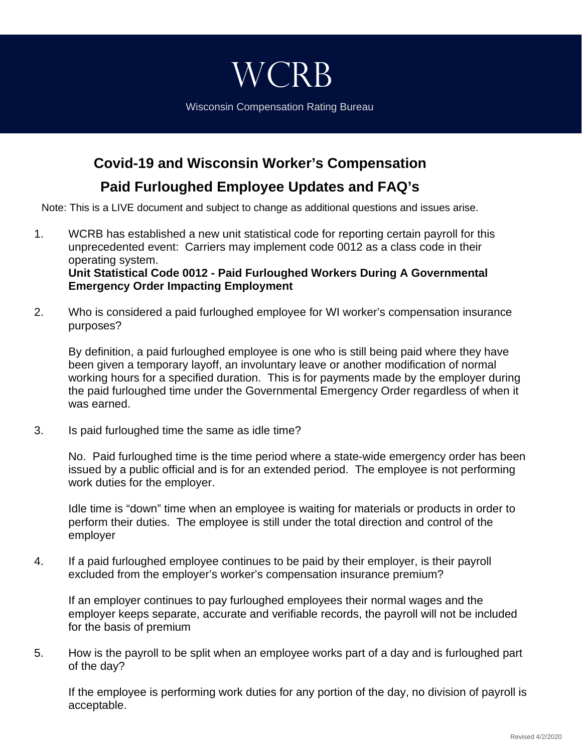## Wisconsin Compensation Rating Bureau

**WCRB** 

**Covid-19 and Wisconsin Worker's Compensation**

**Paid Furloughed Employee Updates and FAQ's**

Note: This is a LIVE document and subject to change as additional questions and issues arise.

- 1. WCRB has established a new unit statistical code for reporting certain payroll for this unprecedented event: Carriers may implement code 0012 as a class code in their operating system. **Unit Statistical Code 0012 - Paid Furloughed Workers During A Governmental Emergency Order Impacting Employment**
- 2. Who is considered a paid furloughed employee for WI worker's compensation insurance purposes?

By definition, a paid furloughed employee is one who is still being paid where they have been given a temporary layoff, an involuntary leave or another modification of normal working hours for a specified duration. This is for payments made by the employer during the paid furloughed time under the Governmental Emergency Order regardless of when it was earned.

3. Is paid furloughed time the same as idle time?

No. Paid furloughed time is the time period where a state-wide emergency order has been issued by a public official and is for an extended period. The employee is not performing work duties for the employer.

Idle time is "down" time when an employee is waiting for materials or products in order to perform their duties. The employee is still under the total direction and control of the employer

4. If a paid furloughed employee continues to be paid by their employer, is their payroll excluded from the employer's worker's compensation insurance premium?

If an employer continues to pay furloughed employees their normal wages and the employer keeps separate, accurate and verifiable records, the payroll will not be included for the basis of premium

5. How is the payroll to be split when an employee works part of a day and is furloughed part of the day?

If the employee is performing work duties for any portion of the day, no division of payroll is acceptable.